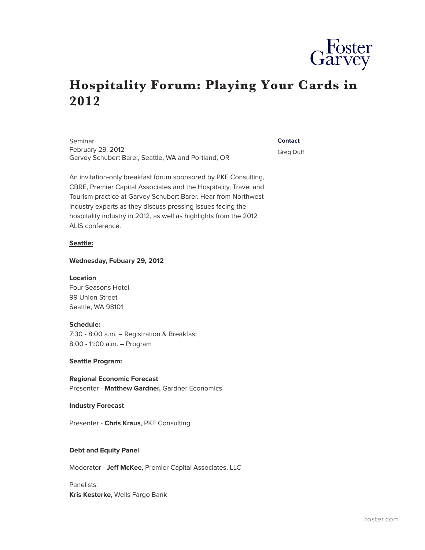

# **Hospitality Forum: Playing Your Cards in 2012**

Seminar February 29, 2012 Garvey Schubert Barer, Seattle, WA and Portland, OR

#### **Contact**

Greg Duff

An invitation-only breakfast forum sponsored by PKF Consulting, CBRE, Premier Capital Associates and the Hospitality, Travel and Tourism practice at Garvey Schubert Barer. Hear from Northwest industry experts as they discuss pressing issues facing the hospitality industry in 2012, as well as highlights from the 2012 ALIS conference.

#### **Seattle:**

#### **Wednesday, Febuary 29, 2012**

#### **Location**

Four Seasons Hotel 99 Union Street Seattle, WA 98101

#### **Schedule:**

7:30 - 8:00 a.m. – Registration & Breakfast 8:00 - 11:00 a.m. – Program

## **Seattle Program:**

**Regional Economic Forecast** Presenter - **Matthew Gardner,** Gardner Economics

#### **Industry Forecast**

Presenter - **Chris Kraus**, PKF Consulting

## **Debt and Equity Panel**

Moderator - **Jeff McKee**, Premier Capital Associates, LLC

Panelists: **Kris Kesterke**, Wells Fargo Bank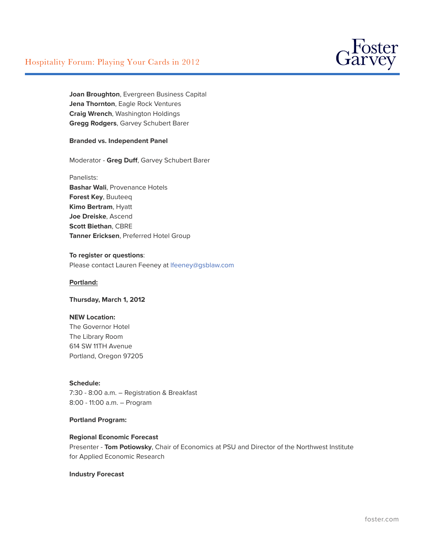

**Joan Broughton**, Evergreen Business Capital **Jena Thornton**, Eagle Rock Ventures **Craig Wrench**, Washington Holdings **Gregg Rodgers**, Garvey Schubert Barer

## **Branded vs. Independent Panel**

Moderator - **Greg Duff**, Garvey Schubert Barer

Panelists: **Bashar Wali**, Provenance Hotels **Forest Key**, Buuteeq **Kimo Bertram**, Hyatt **Joe Dreiske**, Ascend **Scott Biethan**, CBRE **Tanner Ericksen**, Preferred Hotel Group

#### **To register or questions**:

Please contact Lauren Feeney at [lfeeney@gsblaw.com](javascript:location.href=)

# **Portland:**

# **Thursday, March 1, 2012**

#### **NEW Location:**

The Governor Hotel The Library Room 614 SW 11TH Avenue Portland, Oregon 97205

## **Schedule:**

7:30 - 8:00 a.m. – Registration & Breakfast 8:00 - 11:00 a.m. – Program

## **Portland Program:**

#### **Regional Economic Forecast**

Presenter - **Tom Potiowsky**, Chair of Economics at PSU and Director of the Northwest Institute for Applied Economic Research

# **Industry Forecast**